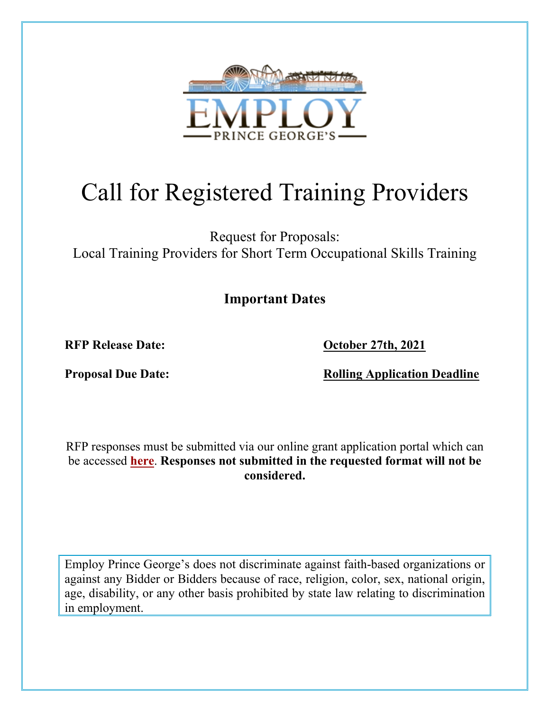

# Call for Registered Training Providers

Request for Proposals: Local Training Providers for Short Term Occupational Skills Training

**Important Dates**

**RFP** Release Date: **October 27th, 2021** 

**Proposal Due Date:** Rolling Application Deadline

RFP responses must be submitted via our online grant application portal which can be accessed **[here](https://www.grantrequest.com/SID_6250?SA=SNA&FID=35022)**. **Responses not submitted in the requested format will not be considered.**

Employ Prince George's does not discriminate against faith-based organizations or against any Bidder or Bidders because of race, religion, color, sex, national origin, age, disability, or any other basis prohibited by state law relating to discrimination in employment.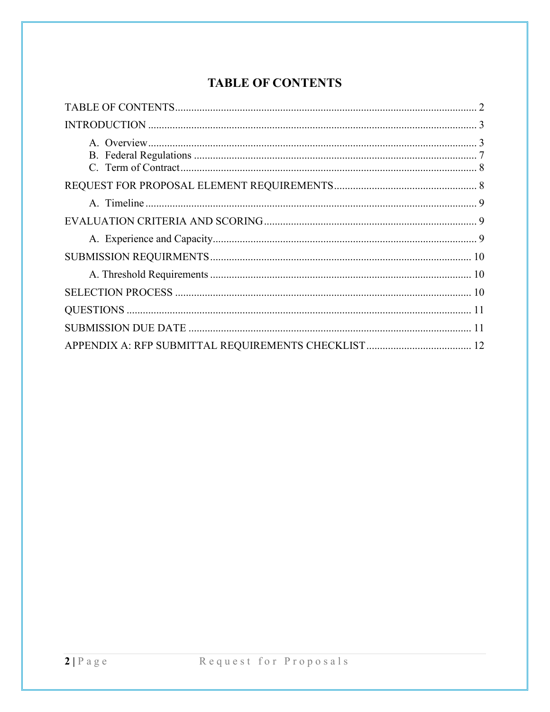## **TABLE OF CONTENTS**

<span id="page-1-0"></span>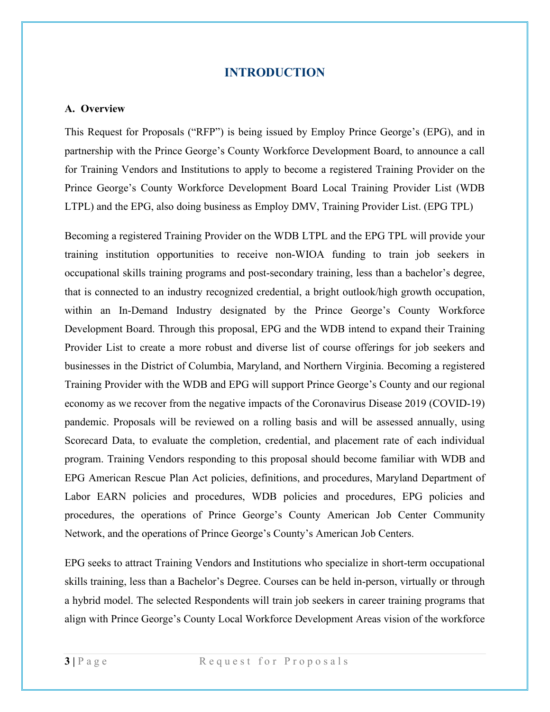## **INTRODUCTION**

#### <span id="page-2-1"></span><span id="page-2-0"></span>**A. Overview**

This Request for Proposals ("RFP") is being issued by Employ Prince George's (EPG), and in partnership with the Prince George's County Workforce Development Board, to announce a call for Training Vendors and Institutions to apply to become a registered Training Provider on the Prince George's County Workforce Development Board Local Training Provider List (WDB LTPL) and the EPG, also doing business as Employ DMV, Training Provider List. (EPG TPL)

Becoming a registered Training Provider on the WDB LTPL and the EPG TPL will provide your training institution opportunities to receive non-WIOA funding to train job seekers in occupational skills training programs and post-secondary training, less than a bachelor's degree, that is connected to an industry recognized credential, a bright outlook/high growth occupation, within an In-Demand Industry designated by the Prince George's County Workforce Development Board. Through this proposal, EPG and the WDB intend to expand their Training Provider List to create a more robust and diverse list of course offerings for job seekers and businesses in the District of Columbia, Maryland, and Northern Virginia. Becoming a registered Training Provider with the WDB and EPG will support Prince George's County and our regional economy as we recover from the negative impacts of the Coronavirus Disease 2019 (COVID-19) pandemic. Proposals will be reviewed on a rolling basis and will be assessed annually, using Scorecard Data, to evaluate the completion, credential, and placement rate of each individual program. Training Vendors responding to this proposal should become familiar with WDB and EPG American Rescue Plan Act policies, definitions, and procedures, Maryland Department of Labor EARN policies and procedures, WDB policies and procedures, EPG policies and procedures, the operations of Prince George's County American Job Center Community Network, and the operations of Prince George's County's American Job Centers.

EPG seeks to attract Training Vendors and Institutions who specialize in short-term occupational skills training, less than a Bachelor's Degree. Courses can be held in-person, virtually or through a hybrid model. The selected Respondents will train job seekers in career training programs that align with Prince George's County Local Workforce Development Areas vision of the workforce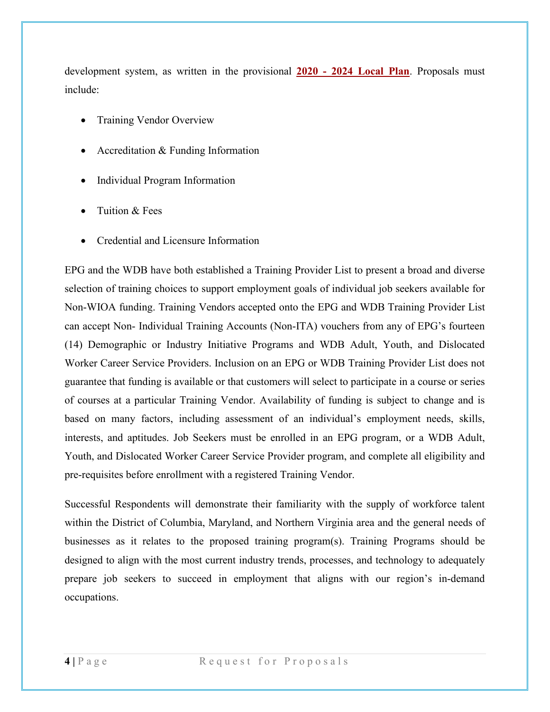development system, as written in the provisional **2020 - [2024 Local Plan](https://pgcajc.com/wp-content/uploads/2021/06/PGC-2020-2024-Local-Plan-Pre-Public-Comment.pdf)**. Proposals must include:

- Training Vendor Overview
- Accreditation & Funding Information
- Individual Program Information
- Tuition & Fees
- Credential and Licensure Information

EPG and the WDB have both established a Training Provider List to present a broad and diverse selection of training choices to support employment goals of individual job seekers available for Non-WIOA funding. Training Vendors accepted onto the EPG and WDB Training Provider List can accept Non- Individual Training Accounts (Non-ITA) vouchers from any of EPG's fourteen (14) Demographic or Industry Initiative Programs and WDB Adult, Youth, and Dislocated Worker Career Service Providers. Inclusion on an EPG or WDB Training Provider List does not guarantee that funding is available or that customers will select to participate in a course or series of courses at a particular Training Vendor. Availability of funding is subject to change and is based on many factors, including assessment of an individual's employment needs, skills, interests, and aptitudes. Job Seekers must be enrolled in an EPG program, or a WDB Adult, Youth, and Dislocated Worker Career Service Provider program, and complete all eligibility and pre-requisites before enrollment with a registered Training Vendor.

Successful Respondents will demonstrate their familiarity with the supply of workforce talent within the District of Columbia, Maryland, and Northern Virginia area and the general needs of businesses as it relates to the proposed training program(s). Training Programs should be designed to align with the most current industry trends, processes, and technology to adequately prepare job seekers to succeed in employment that aligns with our region's in-demand occupations.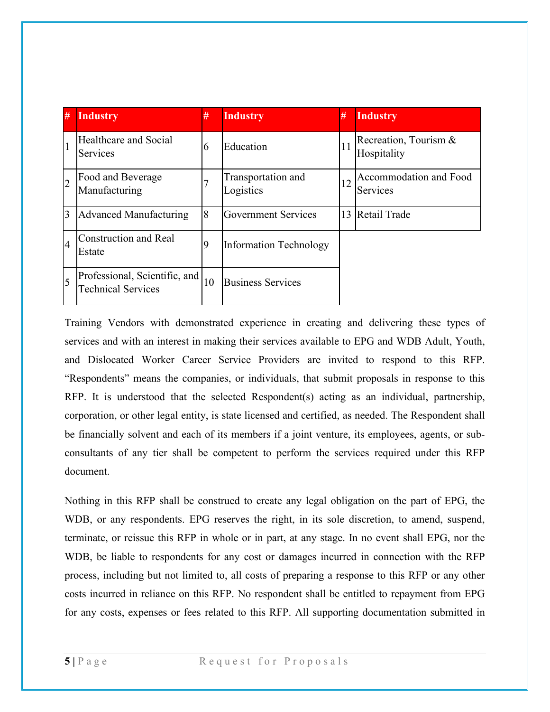| #              | <b>Industry</b>                                            | #  | <b>Industry</b>                 | #  | <b>Industry</b>                      |
|----------------|------------------------------------------------------------|----|---------------------------------|----|--------------------------------------|
| $\mathbf{1}$   | Healthcare and Social<br><b>Services</b>                   | 6  | Education                       | 11 | Recreation, Tourism &<br>Hospitality |
| $\overline{2}$ | Food and Beverage<br>Manufacturing                         |    | Transportation and<br>Logistics | 12 | Accommodation and Food<br>Services   |
| 3              | <b>Advanced Manufacturing</b>                              | 8  | <b>Government Services</b>      |    | 13 Retail Trade                      |
| $\overline{4}$ | <b>Construction and Real</b><br>Estate                     | 9  | <b>Information Technology</b>   |    |                                      |
| 5              | Professional, Scientific, and<br><b>Technical Services</b> | 10 | <b>Business Services</b>        |    |                                      |

Training Vendors with demonstrated experience in creating and delivering these types of services and with an interest in making their services available to EPG and WDB Adult, Youth, and Dislocated Worker Career Service Providers are invited to respond to this RFP. "Respondents" means the companies, or individuals, that submit proposals in response to this RFP. It is understood that the selected Respondent(s) acting as an individual, partnership, corporation, or other legal entity, is state licensed and certified, as needed. The Respondent shall be financially solvent and each of its members if a joint venture, its employees, agents, or subconsultants of any tier shall be competent to perform the services required under this RFP document.

Nothing in this RFP shall be construed to create any legal obligation on the part of EPG, the WDB, or any respondents. EPG reserves the right, in its sole discretion, to amend, suspend, terminate, or reissue this RFP in whole or in part, at any stage. In no event shall EPG, nor the WDB, be liable to respondents for any cost or damages incurred in connection with the RFP process, including but not limited to, all costs of preparing a response to this RFP or any other costs incurred in reliance on this RFP. No respondent shall be entitled to repayment from EPG for any costs, expenses or fees related to this RFP. All supporting documentation submitted in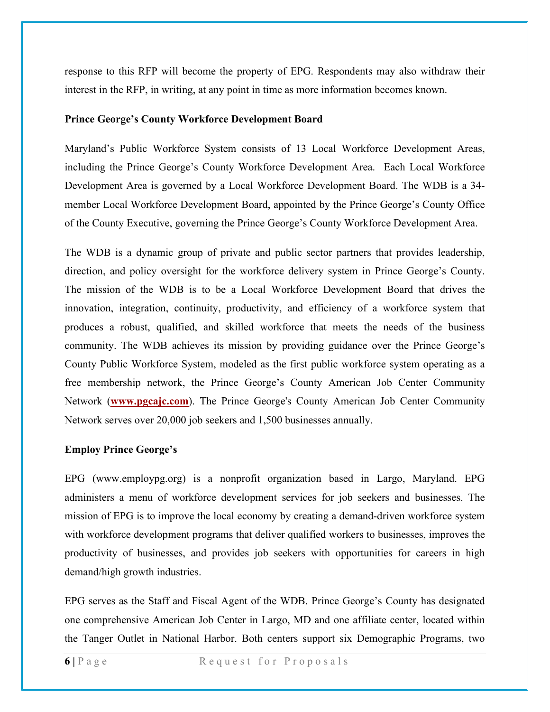response to this RFP will become the property of EPG. Respondents may also withdraw their interest in the RFP, in writing, at any point in time as more information becomes known.

#### **Prince George's County Workforce Development Board**

Maryland's Public Workforce System consists of 13 Local Workforce Development Areas, including the Prince George's County Workforce Development Area. Each Local Workforce Development Area is governed by a Local Workforce Development Board. The WDB is a 34 member Local Workforce Development Board, appointed by the Prince George's County Office of the County Executive, governing the Prince George's County Workforce Development Area.

The WDB is a dynamic group of private and public sector partners that provides leadership, direction, and policy oversight for the workforce delivery system in Prince George's County. The mission of the WDB is to be a Local Workforce Development Board that drives the innovation, integration, continuity, productivity, and efficiency of a workforce system that produces a robust, qualified, and skilled workforce that meets the needs of the business community. The WDB achieves its mission by providing guidance over the Prince George's County Public Workforce System, modeled as the first public workforce system operating as a free membership network, the Prince George's County American Job Center Community Network (**[www.pgcajc.com](http://www.pgcajc.com/)**). The Prince George's County American Job Center Community Network serves over 20,000 job seekers and 1,500 businesses annually.

## **Employ Prince George's**

EPG (www.employpg.org) is a nonprofit organization based in Largo, Maryland. EPG administers a menu of workforce development services for job seekers and businesses. The mission of EPG is to improve the local economy by creating a demand-driven workforce system with workforce development programs that deliver qualified workers to businesses, improves the productivity of businesses, and provides job seekers with opportunities for careers in high demand/high growth industries.

EPG serves as the Staff and Fiscal Agent of the WDB. Prince George's County has designated one comprehensive American Job Center in Largo, MD and one affiliate center, located within the Tanger Outlet in National Harbor. Both centers support six Demographic Programs, two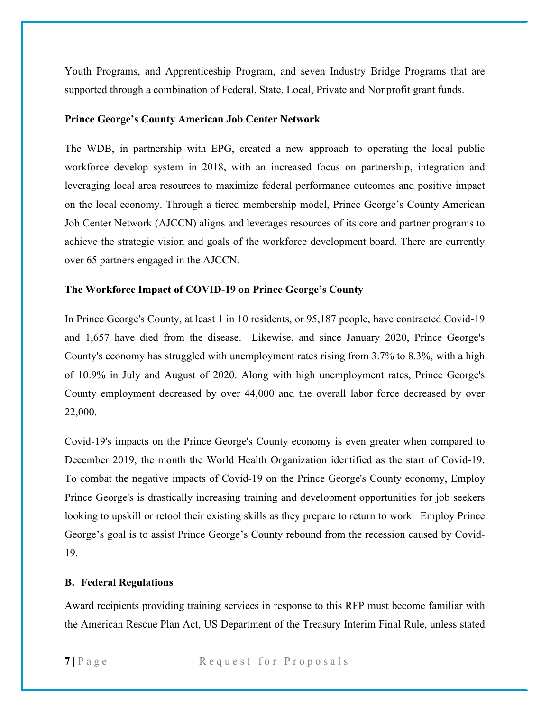Youth Programs, and Apprenticeship Program, and seven Industry Bridge Programs that are supported through a combination of Federal, State, Local, Private and Nonprofit grant funds.

## **Prince George's County American Job Center Network**

The WDB, in partnership with EPG, created a new approach to operating the local public workforce develop system in 2018, with an increased focus on partnership, integration and leveraging local area resources to maximize federal performance outcomes and positive impact on the local economy. Through a tiered membership model, Prince George's County American Job Center Network (AJCCN) aligns and leverages resources of its core and partner programs to achieve the strategic vision and goals of the workforce development board. There are currently over 65 partners engaged in the AJCCN.

## **The Workforce Impact of COVID**-**19 on Prince George's County**

In Prince George's County, at least 1 in 10 residents, or 95,187 people, have contracted Covid-19 and 1,657 have died from the disease. Likewise, and since January 2020, Prince George's County's economy has struggled with unemployment rates rising from 3.7% to 8.3%, with a high of 10.9% in July and August of 2020. Along with high unemployment rates, Prince George's County employment decreased by over 44,000 and the overall labor force decreased by over 22,000.

Covid-19's impacts on the Prince George's County economy is even greater when compared to December 2019, the month the World Health Organization identified as the start of Covid-19. To combat the negative impacts of Covid-19 on the Prince George's County economy, Employ Prince George's is drastically increasing training and development opportunities for job seekers looking to upskill or retool their existing skills as they prepare to return to work. Employ Prince George's goal is to assist Prince George's County rebound from the recession caused by Covid-19.

## <span id="page-6-0"></span>**B. Federal Regulations**

Award recipients providing training services in response to this RFP must become familiar with the American Rescue Plan Act, US Department of the Treasury Interim Final Rule, unless stated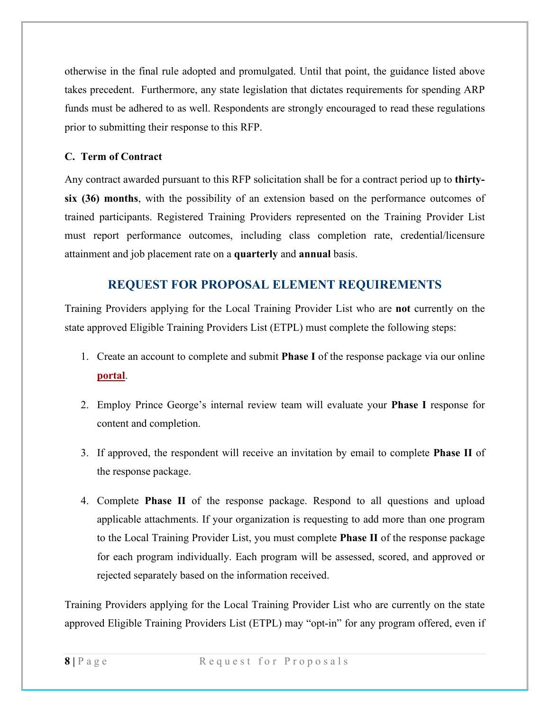otherwise in the final rule adopted and promulgated. Until that point, the guidance listed above takes precedent. Furthermore, any state legislation that dictates requirements for spending ARP funds must be adhered to as well. Respondents are strongly encouraged to read these regulations prior to submitting their response to this RFP.

## <span id="page-7-0"></span>**C. Term of Contract**

Any contract awarded pursuant to this RFP solicitation shall be for a contract period up to **thirtysix (36) months**, with the possibility of an extension based on the performance outcomes of trained participants. Registered Training Providers represented on the Training Provider List must report performance outcomes, including class completion rate, credential/licensure attainment and job placement rate on a **quarterly** and **annual** basis.

## **REQUEST FOR PROPOSAL ELEMENT REQUIREMENTS**

<span id="page-7-1"></span>Training Providers applying for the Local Training Provider List who are **not** currently on the state approved Eligible Training Providers List (ETPL) must complete the following steps:

- 1. Create an account to complete and submit **Phase I** of the response package via our online **[portal](https://www.grantrequest.com/SID_6250?SA=SNA&FID=35022)**.
- 2. Employ Prince George's internal review team will evaluate your **Phase I** response for content and completion.
- 3. If approved, the respondent will receive an invitation by email to complete **Phase II** of the response package.
- 4. Complete **Phase II** of the response package. Respond to all questions and upload applicable attachments. If your organization is requesting to add more than one program to the Local Training Provider List, you must complete **Phase II** of the response package for each program individually. Each program will be assessed, scored, and approved or rejected separately based on the information received.

Training Providers applying for the Local Training Provider List who are currently on the state approved Eligible Training Providers List (ETPL) may "opt-in" for any program offered, even if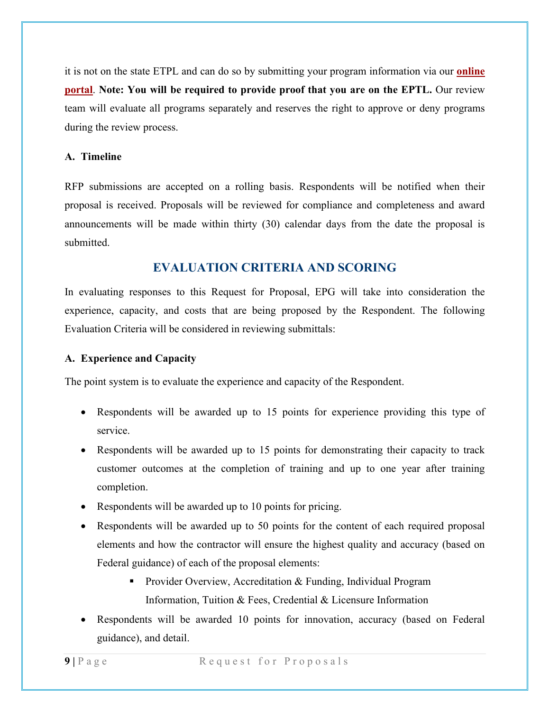it is not on the state ETPL and can do so by submitting your program information via our **[online](https://www.grantrequest.com/SID_6250?SA=SNA&FID=35022)  [portal](https://www.grantrequest.com/SID_6250?SA=SNA&FID=35022)**. **Note: You will be required to provide proof that you are on the EPTL.** Our review team will evaluate all programs separately and reserves the right to approve or deny programs during the review process.

#### <span id="page-8-0"></span>**A. Timeline**

RFP submissions are accepted on a rolling basis. Respondents will be notified when their proposal is received. Proposals will be reviewed for compliance and completeness and award announcements will be made within thirty (30) calendar days from the date the proposal is submitted.

## **EVALUATION CRITERIA AND SCORING**

<span id="page-8-1"></span>In evaluating responses to this Request for Proposal, EPG will take into consideration the experience, capacity, and costs that are being proposed by the Respondent. The following Evaluation Criteria will be considered in reviewing submittals:

## <span id="page-8-2"></span>**A. Experience and Capacity**

The point system is to evaluate the experience and capacity of the Respondent.

- Respondents will be awarded up to 15 points for experience providing this type of service.
- Respondents will be awarded up to 15 points for demonstrating their capacity to track customer outcomes at the completion of training and up to one year after training completion.
- Respondents will be awarded up to 10 points for pricing.
- Respondents will be awarded up to 50 points for the content of each required proposal elements and how the contractor will ensure the highest quality and accuracy (based on Federal guidance) of each of the proposal elements:
	- **Provider Overview, Accreditation & Funding, Individual Program** Information, Tuition & Fees, Credential & Licensure Information
- Respondents will be awarded 10 points for innovation, accuracy (based on Federal guidance), and detail.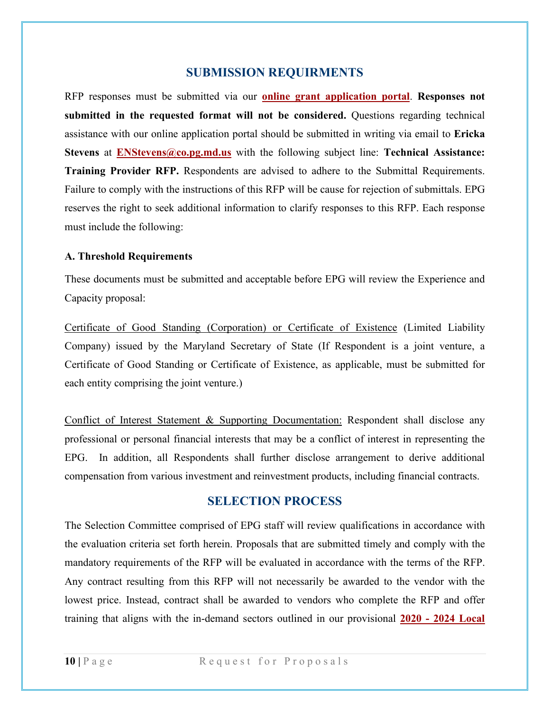## **SUBMISSION REQUIRMENTS**

<span id="page-9-0"></span>RFP responses must be submitted via our **[online grant application portal](https://www.grantrequest.com/SID_6250?SA=SNA&FID=35022)**. **Responses not submitted in the requested format will not be considered.** Questions regarding technical assistance with our online application portal should be submitted in writing via email to **Ericka Stevens** at **[ENStevens@co.pg.md.us](mailto:ENStevens@co.pg.md.us)** with the following subject line: **Technical Assistance: Training Provider RFP.** Respondents are advised to adhere to the Submittal Requirements. Failure to comply with the instructions of this RFP will be cause for rejection of submittals. EPG reserves the right to seek additional information to clarify responses to this RFP. Each response must include the following:

#### <span id="page-9-1"></span>**A. Threshold Requirements**

These documents must be submitted and acceptable before EPG will review the Experience and Capacity proposal:

Certificate of Good Standing (Corporation) or Certificate of Existence (Limited Liability Company) issued by the Maryland Secretary of State (If Respondent is a joint venture, a Certificate of Good Standing or Certificate of Existence, as applicable, must be submitted for each entity comprising the joint venture.)

Conflict of Interest Statement & Supporting Documentation: Respondent shall disclose any professional or personal financial interests that may be a conflict of interest in representing the EPG. In addition, all Respondents shall further disclose arrangement to derive additional compensation from various investment and reinvestment products, including financial contracts.

## **SELECTION PROCESS**

<span id="page-9-2"></span>The Selection Committee comprised of EPG staff will review qualifications in accordance with the evaluation criteria set forth herein. Proposals that are submitted timely and comply with the mandatory requirements of the RFP will be evaluated in accordance with the terms of the RFP. Any contract resulting from this RFP will not necessarily be awarded to the vendor with the lowest price. Instead, contract shall be awarded to vendors who complete the RFP and offer training that aligns with the in-demand sectors outlined in our provisional **2020 - [2024 Local](https://pgcajc.com/wp-content/uploads/2021/06/PGC-2020-2024-Local-Plan-Pre-Public-Comment.pdf)**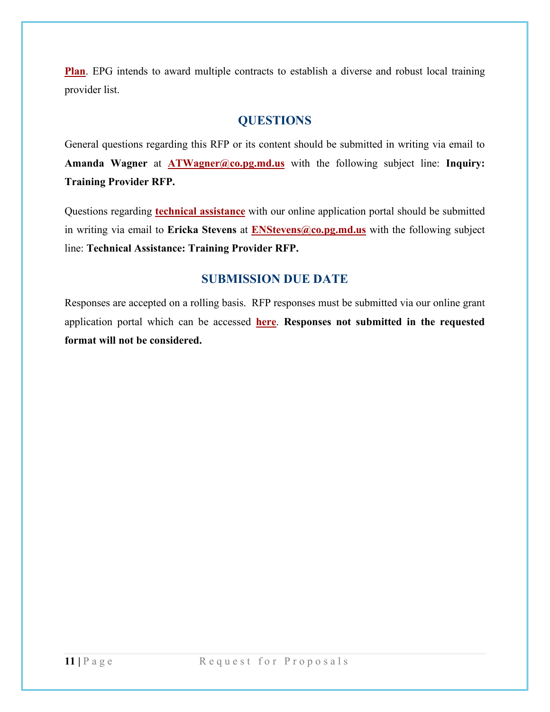**[Plan](https://pgcajc.com/wp-content/uploads/2021/06/PGC-2020-2024-Local-Plan-Pre-Public-Comment.pdf)**. EPG intends to award multiple contracts to establish a diverse and robust local training provider list.

## **QUESTIONS**

<span id="page-10-0"></span>General questions regarding this RFP or its content should be submitted in writing via email to **Amanda Wagner** at **[ATWagner@co.pg.md.us](mailto:ATWagner@co.pg.md.us)** with the following subject line: **Inquiry: Training Provider RFP.**

Questions regarding **technical assistance** with our online application portal should be submitted in writing via email to **Ericka Stevens** at **[ENStevens@co.pg.md.us](mailto:ENStevens@co.pg.md.us)** with the following subject line: **Technical Assistance: Training Provider RFP.**

## **SUBMISSION DUE DATE**

<span id="page-10-1"></span>Responses are accepted on a rolling basis. RFP responses must be submitted via our online grant application portal which can be accessed **[here](https://www.grantrequest.com/SID_6250?SA=SNA&FID=35022)**. **Responses not submitted in the requested format will not be considered.**